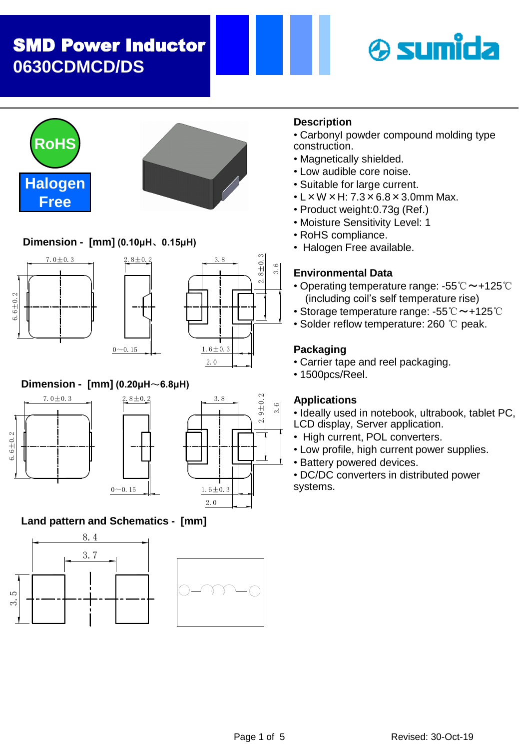# SMD Power Inductor **0630CDMCD/DS**







## **Dimension - [mm] (0.10μH**、**0.15μH)**







## **Dimension - [mm] (0.20μH**~**6.8μH)**





## **Land pattern and Schematics - [mm]**





## **Description**

- CarbonyI powder compound molding type construction.
- Magnetically shielded.
- Low audible core noise.
- Suitable for large current.
- $\cdot$  L  $\times$  W  $\times$  H: 7.3  $\times$  6.8  $\times$  3.0mm Max.
- Product weight:0.73g (Ref.)
- Moisture Sensitivity Level: 1
- RoHS compliance.
- Halogen Free available.

### **Environmental Data**

- Operating temperature range: -55℃ ~+125℃ (including coil's self temperature rise)
- Storage temperature range: -55℃~+125℃
- Solder reflow temperature: 260 ℃ peak.

### **Packaging**

- Carrier tape and reel packaging.
- 1500pcs/Reel.

#### **Applications**

• Ideally used in notebook, ultrabook, tablet PC,

- LCD display, Server application.
- High current, POL converters.
- Low profile, high current power supplies.
- Battery powered devices.
- DC/DC converters in distributed power systems.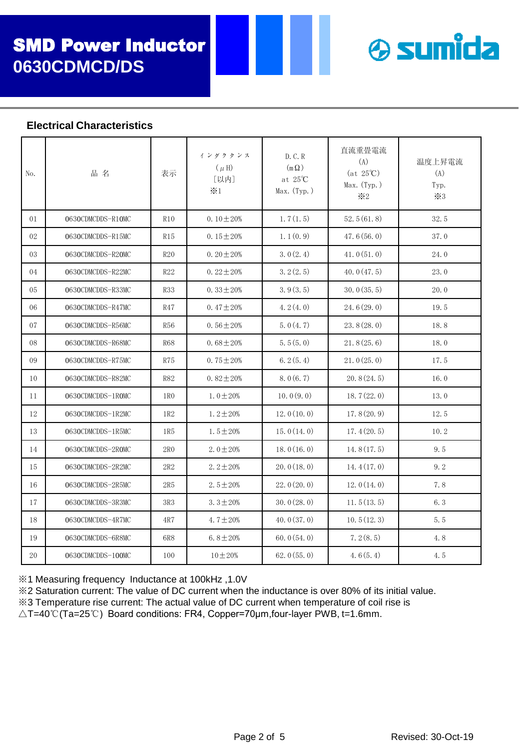

#### **Electrical Characteristics**

| No. | 品名                | 表示              | インダクタンス<br>$(\mu H)$<br>[以内]<br>$\times 1$ | D. C. R<br>$(m \Omega)$<br>at $25^{\circ}$ C<br>Max. (Typ.) | 直流重畳電流<br>(A)<br>$(at 25^{\circ}C)$<br>Max. (Typ.)<br>$\divideontimes$ 2 | 温度上昇電流<br>(A)<br>Typ.<br>$\times 3$ |
|-----|-------------------|-----------------|--------------------------------------------|-------------------------------------------------------------|--------------------------------------------------------------------------|-------------------------------------|
| 01  | 0630CDMCDDS-R10MC | <b>R10</b>      | 0.10 $\pm$ 20%                             | 1, 7(1, 5)                                                  | 52.5(61.8)                                                               | 32.5                                |
| 02  | 0630CDMCDDS-R15MC | R15             | 0.15 $\pm$ 20%                             | 1.1(0.9)                                                    | 47.6(56.0)                                                               | 37.0                                |
| 03  | 0630CDMCDDS-R20MC | R20             | $0.20 \pm 20\%$                            | 3.0(2.4)                                                    | 41.0(51.0)                                                               | 24.0                                |
| 04  | 0630CDMCDDS-R22MC | R22             | $0.22 \pm 20\%$                            | 3.2(2.5)                                                    | 40.0(47.5)                                                               | 23.0                                |
| 05  | 0630CDMCDDS-R33MC | <b>R33</b>      | 0.33 $\pm 20%$                             | 3.9(3.5)                                                    | 30.0(35.5)                                                               | 20.0                                |
| 06  | 0630CDMCDDS-R47MC | <b>R47</b>      | $0.47 \pm 20\%$                            | 4.2(4.0)                                                    | 24.6(29.0)                                                               | 19.5                                |
| 07  | 0630CDMCDDS-R56MC | <b>R56</b>      | $0.56 \pm 20\%$                            | 5.0(4.7)                                                    | 23.8(28.0)                                                               | 18.8                                |
| 08  | 0630CDMCDDS-R68MC | <b>R68</b>      | $0.68 \pm 20\%$                            | 5.5(5.0)                                                    | 21.8(25.6)                                                               | 18.0                                |
| 09  | 0630CDMCDDS-R75MC | R75             | 0.75 $\pm$ 20%                             | 6.2(5.4)                                                    | 21.0(25.0)                                                               | 17.5                                |
| 10  | 0630CDMCDDS-R82MC | <b>R82</b>      | $0.82 \pm 20\%$                            | 8.0(6.7)                                                    | 20.8(24.5)                                                               | 16.0                                |
| 11  | 0630CDMCDDS-1ROMC | 1R <sub>0</sub> | $1.0 \pm 20\%$                             | 10.0(9.0)                                                   | 18.7(22.0)                                                               | 13.0                                |
| 12  | 0630CDMCDDS-1R2MC | 1R2             | $1.2 \pm 20\%$                             | 12.0(10.0)                                                  | 17.8(20.9)                                                               | 12.5                                |
| 13  | 0630CDMCDDS-1R5MC | 1R5             | $1.5 \pm 20\%$                             | 15.0(14.0)                                                  | 17.4(20.5)                                                               | 10.2                                |
| 14  | 0630CDMCDDS-2ROMC | 2R <sub>0</sub> | 2.0 $\pm$ 20%                              | 18.0(16.0)                                                  | 14.8(17.5)                                                               | 9.5                                 |
| 15  | 0630CDMCDDS-2R2MC | 2R2             | $2.2 \pm 20\%$                             | 20.0(18.0)                                                  | 14.4(17.0)                                                               | 9.2                                 |
| 16  | 0630CDMCDDS-2R5MC | 2R5             | $2.5 \pm 20\%$                             | 22.0(20.0)                                                  | 12.0(14.0)                                                               | 7.8                                 |
| 17  | 0630CDMCDDS-3R3MC | 3R3             | $3.3 \pm 20\%$                             | 30.0(28.0)                                                  | 11.5(13.5)                                                               | 6.3                                 |
| 18  | 0630CDMCDDS-4R7MC | 4R7             | 4.7 $\pm$ 20%                              | 40.0(37.0)                                                  | 10.5(12.3)                                                               | 5.5                                 |
| 19  | 0630CDMCDDS-6R8MC | 6R8             | 6.8 $\pm 20%$                              | 60.0(54.0)                                                  | 7.2(8.5)                                                                 | 4.8                                 |
| 20  | 0630CDMCDDS-100MC | 100             | $10 \pm 20%$                               | 62.0(55.0)                                                  | 4.6(5.4)                                                                 | 4.5                                 |

※1 Measuring frequency Inductance at 100kHz ,1.0V

※2 Saturation current: The value of DC current when the inductance is over 80% of its initial value.

※3 Temperature rise current: The actual value of DC current when temperature of coil rise is

△T=40℃(Ta=25℃) Board conditions: FR4, Copper=70μm,four-layer PWB, t=1.6mm.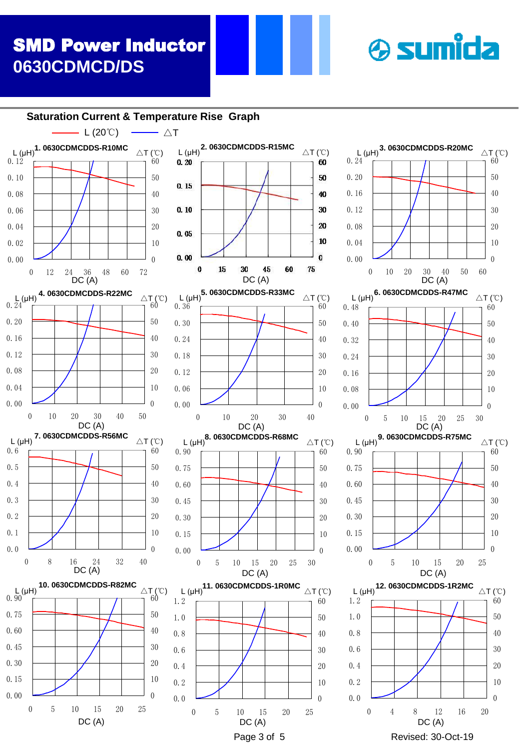# SMD Power Inductor **0630CDMCD/DS**

# **& sumida**

**Saturation Current & Temperature Rise Graph**





60 50

40 30

20

10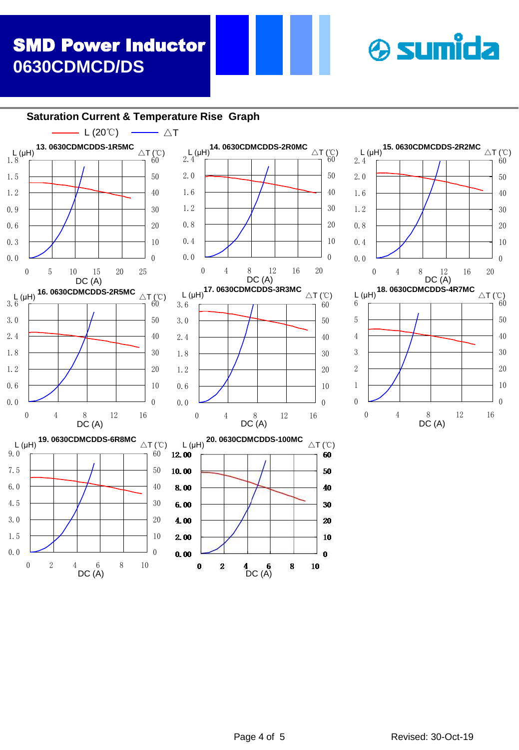# SMD Power Inductor **0630CDMCD/DS**

# **& sumida**

**L** (µH)<sup>15. 0630CDMCDDS-2R2MC <sub>△T (℃)</sub></sup>

0 4 8 12 16

DC (A)

0 4 8  $12$  16 20<br>DC (A)

**L** (µH)<sup>18. 0630CDMCDDS-4R7MC <sub>△T (℃)</sub></sup>

0.0 0.4 0.8 1.2 1.6 2.0 2.4

**Saturation Current & Temperature Rise Graph**